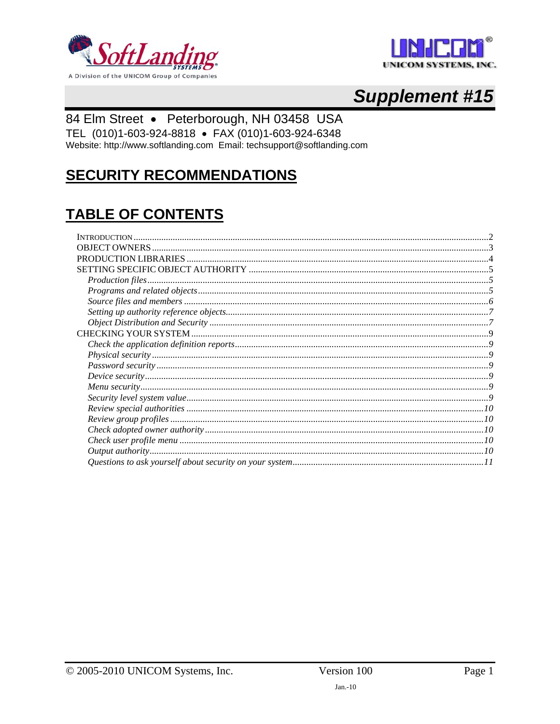



# **Supplement #15**

## 84 Elm Street · Peterborough, NH 03458 USA

TEL (010)1-603-924-8818 · FAX (010)1-603-924-6348 Website: http://www.softlanding.com Email: techsupport@softlanding.com

## **SECURITY RECOMMENDATIONS**

## **TABLE OF CONTENTS**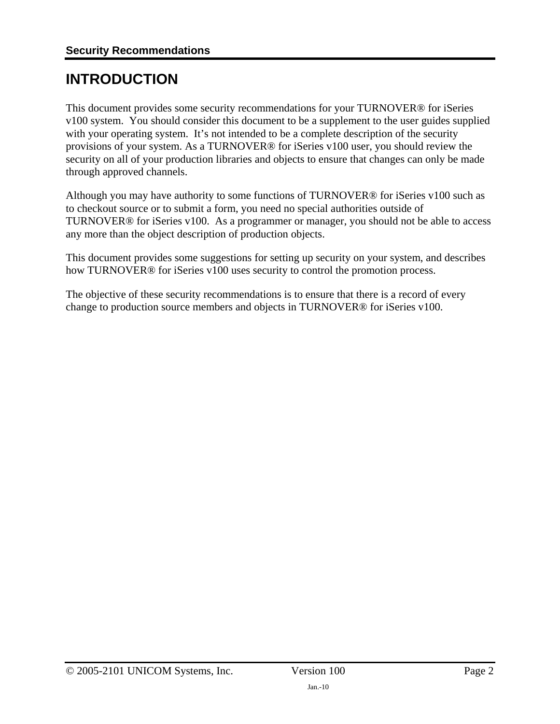## <span id="page-1-1"></span><span id="page-1-0"></span>**INTRODUCTION**

This document provides some security recommendations for your TURNOVER® for iSeries v100 system. You should consider this document to be a supplement to the user guides supplied with your operating system. It's not intended to be a complete description of the security provisions of your system. As a TURNOVER® for iSeries v100 user, you should review the security on all of your production libraries and objects to ensure that changes can only be made through approved channels.

Although you may have authority to some functions of TURNOVER® for iSeries v100 such as to checkout source or to submit a form, you need no special authorities outside of TURNOVER® for iSeries v100. As a programmer or manager, you should not be able to access any more than the object description of production objects.

This document provides some suggestions for setting up security on your system, and describes how TURNOVER® for iSeries v100 uses security to control the promotion process.

The objective of these security recommendations is to ensure that there is a record of every change to production source members and objects in TURNOVER® for iSeries v100.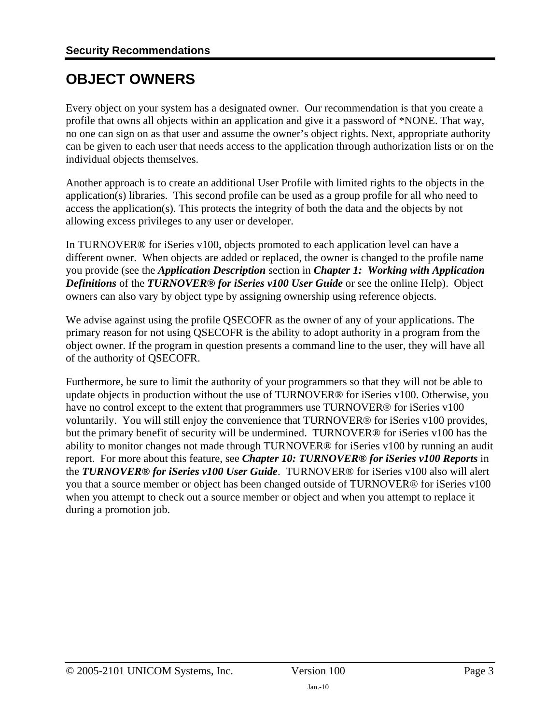## <span id="page-2-1"></span><span id="page-2-0"></span>**OBJECT OWNERS**

Every object on your system has a designated owner. Our recommendation is that you create a profile that owns all objects within an application and give it a password of \*NONE. That way, no one can sign on as that user and assume the owner's object rights. Next, appropriate authority can be given to each user that needs access to the application through authorization lists or on the individual objects themselves.

Another approach is to create an additional User Profile with limited rights to the objects in the application(s) libraries. This second profile can be used as a group profile for all who need to access the application(s). This protects the integrity of both the data and the objects by not allowing excess privileges to any user or developer.

In TURNOVER® for iSeries v100, objects promoted to each application level can have a different owner. When objects are added or replaced, the owner is changed to the profile name you provide (see the *Application Description* section in *Chapter 1: Working with Application Definitions* of the *TURNOVER® for iSeries v100 User Guide* or see the online Help). Object owners can also vary by object type by assigning ownership using reference objects.

We advise against using the profile QSECOFR as the owner of any of your applications. The primary reason for not using QSECOFR is the ability to adopt authority in a program from the object owner. If the program in question presents a command line to the user, they will have all of the authority of QSECOFR.

Furthermore, be sure to limit the authority of your programmers so that they will not be able to update objects in production without the use of TURNOVER® for iSeries v100. Otherwise, you have no control except to the extent that programmers use TURNOVER® for iSeries v100 voluntarily. You will still enjoy the convenience that TURNOVER® for iSeries v100 provides, but the primary benefit of security will be undermined. TURNOVER® for iSeries v100 has the ability to monitor changes not made through TURNOVER® for iSeries v100 by running an audit report. For more about this feature, see *Chapter 10: TURNOVER® for iSeries v100 Reports* in the *TURNOVER® for iSeries v100 User Guide*. TURNOVER® for iSeries v100 also will alert you that a source member or object has been changed outside of TURNOVER® for iSeries v100 when you attempt to check out a source member or object and when you attempt to replace it during a promotion job.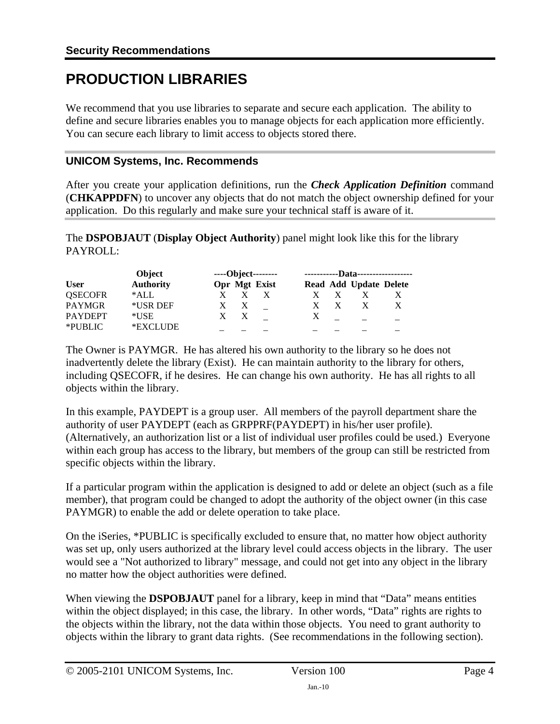## <span id="page-3-1"></span><span id="page-3-0"></span>**PRODUCTION LIBRARIES**

We recommend that you use libraries to separate and secure each application. The ability to define and secure libraries enables you to manage objects for each application more efficiently. You can secure each library to limit access to objects stored there.

#### **UNICOM Systems, Inc. Recommends**

After you create your application definitions, run the *Check Application Definition* command (**CHKAPPDFN**) to uncover any objects that do not match the object ownership defined for your application. Do this regularly and make sure your technical staff is aware of it.

The **DSPOBJAUT** (**Display Object Authority**) panel might look like this for the library PAYROLL:

|                | Object           |              |              | ----Object-------- |   | -----------Data------------------ |    |
|----------------|------------------|--------------|--------------|--------------------|---|-----------------------------------|----|
| <b>User</b>    | <b>Authority</b> |              |              | Opr Mgt Exist      |   | Read Add Update Delete            |    |
| <b>QSECOFR</b> | *ALL             |              |              |                    |   |                                   |    |
| <b>PAYMGR</b>  | *USR DEF         |              | X            |                    |   |                                   | X. |
| <b>PAYDEPT</b> | *USE             | $\mathbf{X}$ | $\mathbf{X}$ |                    | X |                                   |    |
| *PUBLIC        | *EXCLUDE         |              |              |                    |   |                                   |    |

The Owner is PAYMGR. He has altered his own authority to the library so he does not inadvertently delete the library (Exist). He can maintain authority to the library for others, including QSECOFR, if he desires. He can change his own authority. He has all rights to all objects within the library.

In this example, PAYDEPT is a group user. All members of the payroll department share the authority of user PAYDEPT (each as GRPPRF(PAYDEPT) in his/her user profile). (Alternatively, an authorization list or a list of individual user profiles could be used.) Everyone within each group has access to the library, but members of the group can still be restricted from specific objects within the library.

If a particular program within the application is designed to add or delete an object (such as a file member), that program could be changed to adopt the authority of the object owner (in this case PAYMGR) to enable the add or delete operation to take place.

On the iSeries, \*PUBLIC is specifically excluded to ensure that, no matter how object authority was set up, only users authorized at the library level could access objects in the library. The user would see a "Not authorized to library" message, and could not get into any object in the library no matter how the object authorities were defined.

When viewing the **DSPOBJAUT** panel for a library, keep in mind that "Data" means entities within the object displayed; in this case, the library. In other words, "Data" rights are rights to the objects within the library, not the data within those objects. You need to grant authority to objects within the library to grant data rights. (See recommendations in the following section).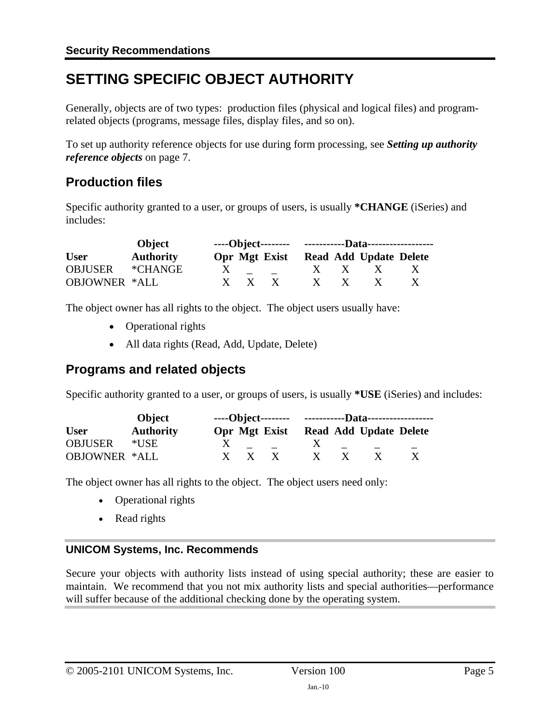## <span id="page-4-1"></span><span id="page-4-0"></span>**SETTING SPECIFIC OBJECT AUTHORITY**

Generally, objects are of two types: production files (physical and logical files) and programrelated objects (programs, message files, display files, and so on).

To set up authority reference objects for use during form processing, see *[Setting up authority](#page-6-1)  [reference objects](#page-6-1)* on page [7.](#page-6-1)

## <span id="page-4-2"></span>**Production files**

Specific authority granted to a user, or groups of users, is usually **\*CHANGE** (iSeries) and includes:

|               | Object           |              |                     |          |                        |              |
|---------------|------------------|--------------|---------------------|----------|------------------------|--------------|
| <b>User</b>   | <b>Authority</b> |              | Opr Mgt Exist       |          | Read Add Update Delete |              |
| OBJUSER       | *CHANGE*         |              | $X \quad - \quad -$ |          | $X \times X$           | $\mathbf{X}$ |
| OBJOWNER *ALL |                  | $X \times X$ |                     | $X \t X$ | $\mathbf{X}$           |              |

The object owner has all rights to the object. The object users usually have:

- Operational rights
- All data rights (Read, Add, Update, Delete)

## <span id="page-4-3"></span>**Programs and related objects**

Specific authority granted to a user, or groups of users, is usually **\*USE** (iSeries) and includes:

|                      | Object           |            |               |              |                        |  |
|----------------------|------------------|------------|---------------|--------------|------------------------|--|
| <b>User</b>          | <b>Authority</b> |            | Opr Mgt Exist |              | Read Add Update Delete |  |
| <b>OBJUSER</b>       | *USE-            |            |               | $\mathbf{X}$ |                        |  |
| <b>OBJOWNER *ALL</b> |                  | $X \times$ | $\mathbf{X}$  | $\mathbf{X}$ | X                      |  |

The object owner has all rights to the object. The object users need only:

- Operational rights
- Read rights

#### **UNICOM Systems, Inc. Recommends**

Secure your objects with authority lists instead of using special authority; these are easier to maintain. We recommend that you not mix authority lists and special authorities—performance will suffer because of the additional checking done by the operating system.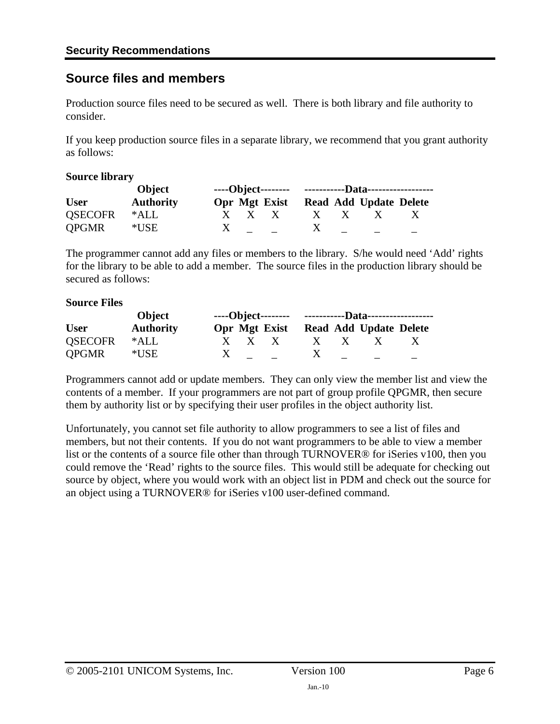### <span id="page-5-1"></span><span id="page-5-0"></span>**Source files and members**

Production source files need to be secured as well. There is both library and file authority to consider.

If you keep production source files in a separate library, we recommend that you grant authority as follows:

#### **Source library**

|                | Object           |  |  |              |              |                                      |              |  |
|----------------|------------------|--|--|--------------|--------------|--------------------------------------|--------------|--|
| <b>User</b>    | <b>Authority</b> |  |  |              |              | Opr Mgt Exist Read Add Update Delete |              |  |
| <b>OSECOFR</b> | *ALL             |  |  | $X \times X$ | $X \times X$ | $\mathbf{X}$                         | $\mathbf{X}$ |  |
| <b>QPGMR</b>   | $*$ USE          |  |  | $X =$ $X$    |              |                                      |              |  |

The programmer cannot add any files or members to the library. S/he would need 'Add' rights for the library to be able to add a member. The source files in the production library should be secured as follows:

#### **Source Files**

| Object         |                  |              |  |                                                                                                                                                                                                                                                                                                                                                                                                                                                                                 |              |  |                                      |  |  |
|----------------|------------------|--------------|--|---------------------------------------------------------------------------------------------------------------------------------------------------------------------------------------------------------------------------------------------------------------------------------------------------------------------------------------------------------------------------------------------------------------------------------------------------------------------------------|--------------|--|--------------------------------------|--|--|
| <b>User</b>    | <b>Authority</b> |              |  |                                                                                                                                                                                                                                                                                                                                                                                                                                                                                 |              |  | Opr Mgt Exist Read Add Update Delete |  |  |
| <b>OSECOFR</b> | *ALL             |              |  | $X \times X$                                                                                                                                                                                                                                                                                                                                                                                                                                                                    | $X \times X$ |  | $X \t X$                             |  |  |
| QPGMR          | $^*\mathrm{USE}$ | $\mathbf{X}$ |  | $\overline{\phantom{a}}$ $\overline{\phantom{a}}$ $\overline{\phantom{a}}$ $\overline{\phantom{a}}$ $\overline{\phantom{a}}$ $\overline{\phantom{a}}$ $\overline{\phantom{a}}$ $\overline{\phantom{a}}$ $\overline{\phantom{a}}$ $\overline{\phantom{a}}$ $\overline{\phantom{a}}$ $\overline{\phantom{a}}$ $\overline{\phantom{a}}$ $\overline{\phantom{a}}$ $\overline{\phantom{a}}$ $\overline{\phantom{a}}$ $\overline{\phantom{a}}$ $\overline{\phantom{a}}$ $\overline{\$ |              |  |                                      |  |  |

Programmers cannot add or update members. They can only view the member list and view the contents of a member. If your programmers are not part of group profile QPGMR, then secure them by authority list or by specifying their user profiles in the object authority list.

Unfortunately, you cannot set file authority to allow programmers to see a list of files and members, but not their contents. If you do not want programmers to be able to view a member list or the contents of a source file other than through TURNOVER® for iSeries v100, then you could remove the 'Read' rights to the source files. This would still be adequate for checking out source by object, where you would work with an object list in PDM and check out the source for an object using a TURNOVER® for iSeries v100 user-defined command.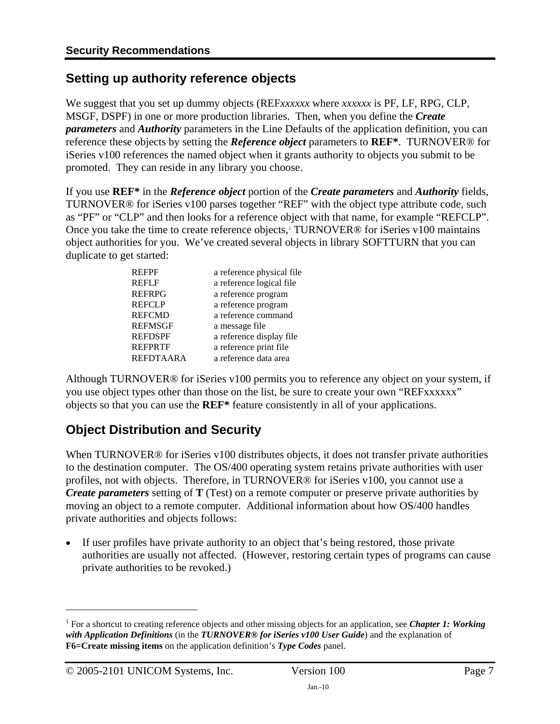## <span id="page-6-1"></span><span id="page-6-0"></span>**Setting up authority reference objects**

We suggest that you set up dummy objects (REF*xxxxxx* where *xxxxxx* is PF, LF, RPG, CLP, MSGF, DSPF) in one or more production libraries. Then, when you define the *Create parameters* and *Authority* parameters in the Line Defaults of the application definition, you can reference these objects by setting the *Reference object* parameters to **REF\***. TURNOVER® for iSeries v100 references the named object when it grants authority to objects you submit to be promoted. They can reside in any library you choose.

If you use **REF\*** in the *Reference object* portion of the *Create parameters* and *Authority* fields, TURNOVER® for iSeries v100 parses together "REF" with the object type attribute code, such as "PF" or "CLP" and then looks for a reference object with that name, for example "REFCLP". Once you take the time to create reference objects,<sup>[1](#page-6-3)</sup> TURNOVER<sup>®</sup> for iSeries v100 maintains object authorities for you. We've created several objects in library SOFTTURN that you can duplicate to get started:

| <b>REFPF</b>   | a reference physical file. |
|----------------|----------------------------|
| <b>REFLF</b>   | a reference logical file   |
| <b>REFRPG</b>  | a reference program        |
| <b>REFCLP</b>  | a reference program        |
| <b>REFCMD</b>  | a reference command        |
| <b>REFMSGF</b> | a message file             |
| <b>REFDSPF</b> | a reference display file   |
| <b>REFPRTF</b> | a reference print file     |
| REFDTAARA      | a reference data area      |
|                |                            |

Although TURNOVER® for iSeries v100 permits you to reference any object on your system, if you use object types other than those on the list, be sure to create your own "REFxxxxxx" objects so that you can use the **REF\*** feature consistently in all of your applications.

## <span id="page-6-2"></span>**Object Distribution and Security**

When TURNOVER<sup>®</sup> for iSeries v100 distributes objects, it does not transfer private authorities to the destination computer. The OS/400 operating system retains private authorities with user profiles, not with objects. Therefore, in TURNOVER® for iSeries v100, you cannot use a *Create parameters* setting of **T** (Test) on a remote computer or preserve private authorities by moving an object to a remote computer. Additional information about how OS/400 handles private authorities and objects follows:

• If user profiles have private authority to an object that's being restored, those private authorities are usually not affected. (However, restoring certain types of programs can cause private authorities to be revoked.)

 $\overline{a}$ 

<span id="page-6-3"></span><sup>&</sup>lt;sup>1</sup> For a shortcut to creating reference objects and other missing objects for an application, see *Chapter 1: Working with Application Definitions* (in the *TURNOVER® for iSeries v100 User Guide*) and the explanation of **F6=Create missing items** on the application definition's *Type Codes* panel.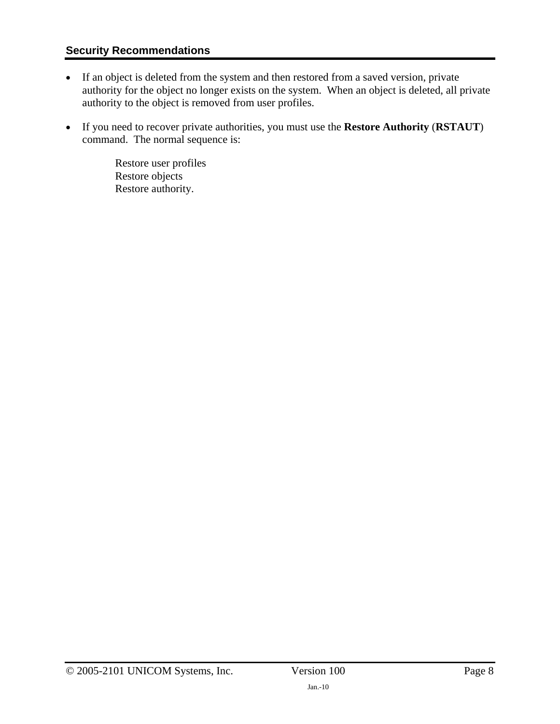#### **Security Recommendations**

- If an object is deleted from the system and then restored from a saved version, private authority for the object no longer exists on the system. When an object is deleted, all private authority to the object is removed from user profiles.
- If you need to recover private authorities, you must use the **Restore Authority** (**RSTAUT**) command. The normal sequence is:

Restore user profiles Restore objects Restore authority.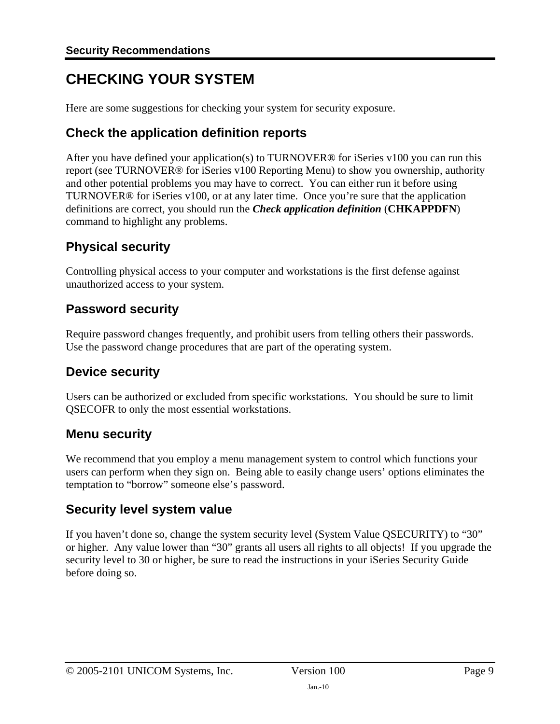## <span id="page-8-1"></span><span id="page-8-0"></span>**CHECKING YOUR SYSTEM**

Here are some suggestions for checking your system for security exposure.

## <span id="page-8-2"></span>**Check the application definition reports**

After you have defined your application(s) to TURNOVER® for iSeries v100 you can run this report (see TURNOVER® for iSeries v100 Reporting Menu) to show you ownership, authority and other potential problems you may have to correct. You can either run it before using TURNOVER® for iSeries v100, or at any later time. Once you're sure that the application definitions are correct, you should run the *Check application definition* (**CHKAPPDFN**) command to highlight any problems.

## <span id="page-8-3"></span>**Physical security**

Controlling physical access to your computer and workstations is the first defense against unauthorized access to your system.

## <span id="page-8-4"></span>**Password security**

Require password changes frequently, and prohibit users from telling others their passwords. Use the password change procedures that are part of the operating system.

## <span id="page-8-5"></span>**Device security**

Users can be authorized or excluded from specific workstations. You should be sure to limit QSECOFR to only the most essential workstations.

## <span id="page-8-6"></span>**Menu security**

We recommend that you employ a menu management system to control which functions your users can perform when they sign on. Being able to easily change users' options eliminates the temptation to "borrow" someone else's password.

## <span id="page-8-7"></span>**Security level system value**

If you haven't done so, change the system security level (System Value QSECURITY) to "30" or higher. Any value lower than "30" grants all users all rights to all objects! If you upgrade the security level to 30 or higher, be sure to read the instructions in your iSeries Security Guide before doing so.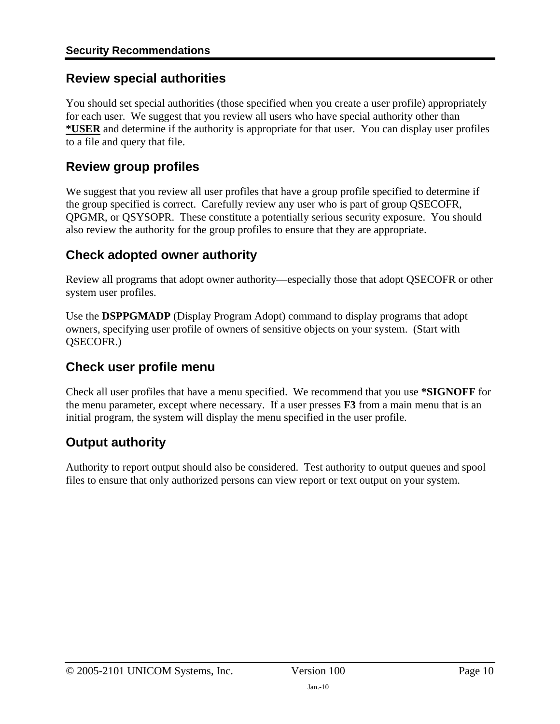### <span id="page-9-1"></span><span id="page-9-0"></span>**Review special authorities**

You should set special authorities (those specified when you create a user profile) appropriately for each user. We suggest that you review all users who have special authority other than **\*USER** and determine if the authority is appropriate for that user. You can display user profiles to a file and query that file.

## <span id="page-9-2"></span>**Review group profiles**

We suggest that you review all user profiles that have a group profile specified to determine if the group specified is correct. Carefully review any user who is part of group QSECOFR, QPGMR, or QSYSOPR. These constitute a potentially serious security exposure. You should also review the authority for the group profiles to ensure that they are appropriate.

## <span id="page-9-3"></span>**Check adopted owner authority**

Review all programs that adopt owner authority—especially those that adopt QSECOFR or other system user profiles.

Use the **DSPPGMADP** (Display Program Adopt) command to display programs that adopt owners, specifying user profile of owners of sensitive objects on your system. (Start with QSECOFR.)

## <span id="page-9-4"></span>**Check user profile menu**

Check all user profiles that have a menu specified. We recommend that you use **\*SIGNOFF** for the menu parameter, except where necessary. If a user presses **F3** from a main menu that is an initial program, the system will display the menu specified in the user profile.

## <span id="page-9-5"></span>**Output authority**

Authority to report output should also be considered. Test authority to output queues and spool files to ensure that only authorized persons can view report or text output on your system.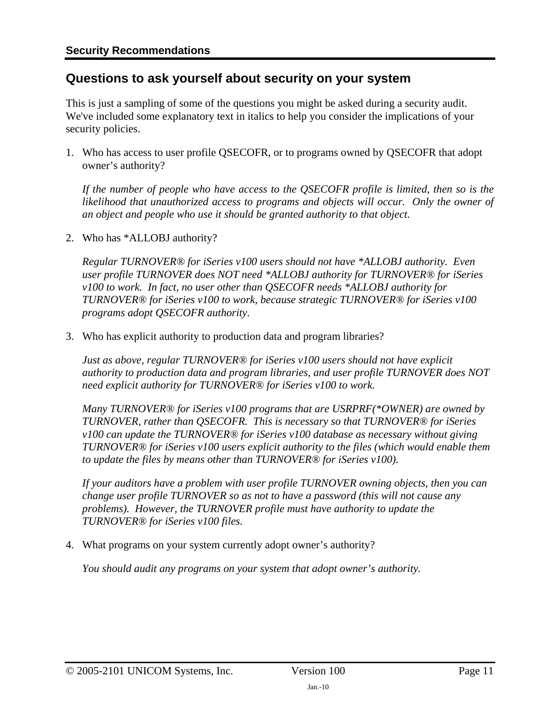### <span id="page-10-1"></span><span id="page-10-0"></span>**Questions to ask yourself about security on your system**

This is just a sampling of some of the questions you might be asked during a security audit. We've included some explanatory text in italics to help you consider the implications of your security policies.

1. Who has access to user profile QSECOFR, or to programs owned by QSECOFR that adopt owner's authority?

*If the number of people who have access to the QSECOFR profile is limited, then so is the*  likelihood that unauthorized access to programs and objects will occur. Only the owner of *an object and people who use it should be granted authority to that object.* 

2. Who has \*ALLOBJ authority?

*Regular TURNOVER® for iSeries v100 users should not have \*ALLOBJ authority. Even user profile TURNOVER does NOT need \*ALLOBJ authority for TURNOVER® for iSeries v100 to work. In fact, no user other than QSECOFR needs \*ALLOBJ authority for TURNOVER® for iSeries v100 to work, because strategic TURNOVER® for iSeries v100 programs adopt QSECOFR authority.* 

3. Who has explicit authority to production data and program libraries?

*Just as above, regular TURNOVER® for iSeries v100 users should not have explicit authority to production data and program libraries, and user profile TURNOVER does NOT need explicit authority for TURNOVER® for iSeries v100 to work.* 

*Many TURNOVER® for iSeries v100 programs that are USRPRF(\*OWNER) are owned by TURNOVER, rather than QSECOFR. This is necessary so that TURNOVER® for iSeries v100 can update the TURNOVER® for iSeries v100 database as necessary without giving TURNOVER® for iSeries v100 users explicit authority to the files (which would enable them to update the files by means other than TURNOVER® for iSeries v100).* 

*If your auditors have a problem with user profile TURNOVER owning objects, then you can change user profile TURNOVER so as not to have a password (this will not cause any problems). However, the TURNOVER profile must have authority to update the TURNOVER® for iSeries v100 files.* 

4. What programs on your system currently adopt owner's authority?

*You should audit any programs on your system that adopt owner's authority.*